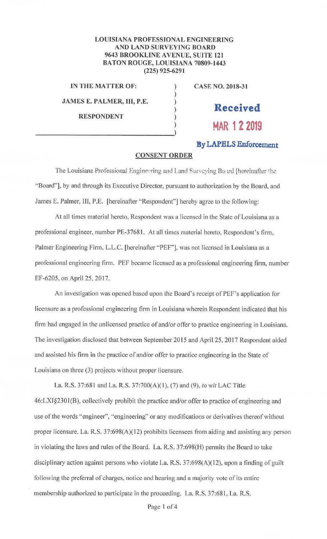## **LOUISIANA PROFESSIONAL ENGINEERING AND LAND SURVEYING BOARD 9643 BROOKLINE AVENUE, SUITE 121 BATON ROUGE, LOUISIANA 70809-1443 (225) 925-6291**

)

**IN THE MATTER OF:** ) **CASE NO. 2018-31** 

**JAMES E. PALMER, Ill, P.E.** )

**RESPONDENT** )

# ) **Received**  ) **MAR 12 2019**

# **By LAPELS Enforcement**

#### **CONSENT ORDER**

The Louisiana Professional Engineering and Land Surveying Board [hereinafter the ·'Board"], by and through its Executive Director, pursuant to authorization by the Board, and James E. Palmer, III, P.E. [hereinafter "Respondent"] hereby agree to the following:

At all times material hereto, Respondent was a licensed in the State of Louisiana as a professional engineer, number PE-37681. At all times material hereto, Respondent's firm, Palmer Engineering Firm, L.L.C. [hereinafter "PEF''], was not licensed in Louisiana as a professional engineering firm. PEF became licensed as a professional engineering firm, number EF-6205, on April 25, 2017.

An investigation was opened based upon the Board's receipt of PEF's application for licensure as a professional engineering firm in Louisiana wherein Respondent indicated that his firm had engaged in the unlicensed practice of and/or offer to practice engineering in Louisiana. The investigation disclosed that between September 2015 and April 25, 2017 Respondent aided and assisted his firm in the practice of and/or offer to practice engineering in the State of Louisiana on three (3) projects without proper licensure.

La. R.S. 37:681 and La. R.S. 37:700(A)(I), (7) and (9), *to wit* LAC Title 46:LXI§230I(B), collectively prohibit the practice and/or offer to practice of engineering and use of the words "engineer", ''engineering" or any modifications or derivatives thereof without proper licensure. La. R.S. 37:698(A)(12) prohibits licensees from aiding and assisting any person in violating the laws and rules of the Board. La. R.S. 37:698(H) permits the Board to take disciplinary action against persons who violate La. R.S.  $37:698(A)(12)$ , upon a finding of guilt following the preferral of charges. notice and hearing and a majority vote of its entire membership authorized to participate in the proceeding. La. R.S. 37:681, La. R.S.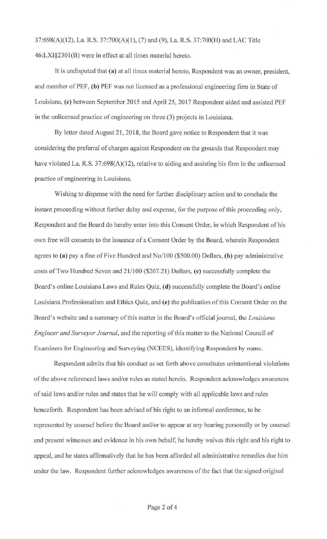37:698(A)(12), La. R.S. 37:700(A)(l ), (7) and (9), La. R.S. 37:700(H) and LAC Title 46:LXI§230I(B) were in effect at all times material hereto.

It is undisputed that **(a)** at all times material hereto, Respondent was an owner, president, and member of PEF, **(b)** PEF was not licensed as a professional engineering firm in State of Louisiana, **(c)** between September 2015 and April 25, 2017 Respondent aided and assisted PEF in the unlicensed practice of engineering on three (3) projects in Louisiana.

By letter dated August 21, 2018, the Board gave notice to Respondent that it was considering the preferral of charges against Respondent on the grounds that Respondent may have violated La. R.S. 37:698(A)(12), relative to aiding and assisting his firm in the unlicensed practice of engineering in Louisiana.

Wishing to dispense with the need for further disciplinary action and to conclude the instant proceeding without further delay and expense, for the purpose of this proceeding only, Respondent and the Board do hereby enter into this Consent Order, in which Respondent of his own free will consents to the issuance of a Consent Order by the Board, wherein Respondent agrees to **(a)** pay a fine ofFive Hundred and No/100 (\$500.00) Dollars, **(b)** pay administrative costs of Two Hundred Seven and 21/100 (\$207.21) Dollars, ( **c)** successfully complete the Board's online Louisiana Laws and Rules Quiz, **(d)** successfully complete the Board's online Louisiana Professionalism and Ethics Quiz, and **(e)** the publication of this Consent Order on the Board's website and a summary of this matter in the Board's official journal, the *Louisiana Engineer and Surveyor Journal,* and the reporting of this matter to the National Council of Examiners for Engineering and Surveying (NCEES), identifying Respondent by name.

Respondent admits that his conduct as set forth above constitutes unintentional violations of the above referenced laws and/or rules as stated herein. Respondent acknowledges awareness of said laws and/or rules and states that he will comply with all applicable laws and rules henceforth. Respondent has been advised of his right to an informal conference, to be represented by counsel before the Board and/or to appear at any hearing personally or by counsel and present witnesses and evidence in his own behalf, he hereby waives this right and his right to appeal, and he states affirmatively that he has been afforded all administrative remedies due him under the law. Respondent further acknowledges awareness of the fact that the signed original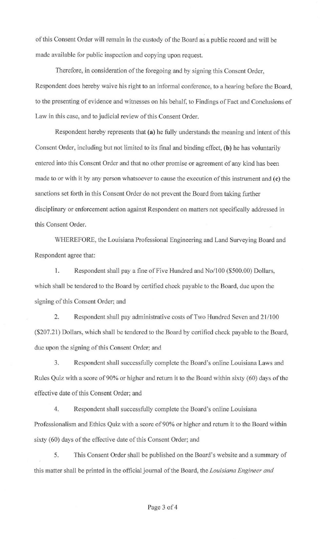of this Consent Order will remain in the custody of the Board as a public record and will be made available for public inspection and copying upon request.

Therefore, in consideration of the foregoing and by signing this Consent Order, Respondent does hereby waive his right to an informal conference, to a hearing before the Board, to the presenting of evidence and witnesses on his behalf, to Findings of Fact and Conclusions of Law in this case, and to judicial review of this Consent Order.

Respondent hereby represents that **(a)** he fully understands the meaning and intent of this Consent Order, including but not limited to its final and binding effect, **(b)** he has voluntarily entered into this Consent Order and that no other promise or agreement of any kind has been made to or with it by any person whatsoever to cause the execution of this instrument and **(c)** the sanctions set forth in this Consent Order do not prevent the Board from taking further disciplinary or enforcement action against Respondent on matters not specifically addressed in this Consent Order.

WHEREFORE, the Louisiana Professional Engineering and Land Surveying Board and Respondent agree that:

1. Respondent shall pay a fine of Five Hundred and No/100 (\$500.00) Dollars, which shall be tendered to the Board by certified check payable to the Board, due upon the signing of this Consent Order; and

2. Respondent shall pay administrative costs of Two Hundred Seven and 21/100 (\$207.21) Dollars, which shall be tendered to the Board by certified check payable to the Board, due upon the signing of this Consent Order; and

3. Respondent shall successfully complete the Board's online Louisiana Laws and Rules Quiz with a score of 90% or higher and return it to the Board within sixty (60) days of the effective date of this Consent Order; and

4. Respondent shall successfully complete the Board's online Louisiana Professionalism and Ethics Quiz with a score of 90% or higher and return it to the Board within sixty (60) days of the effective date of this Consent Order; and

5. This Consent Order shall be published on the Board's website and a summary of this matter shall be printed in the official journal of the Board, the *Louisiana Engineer and*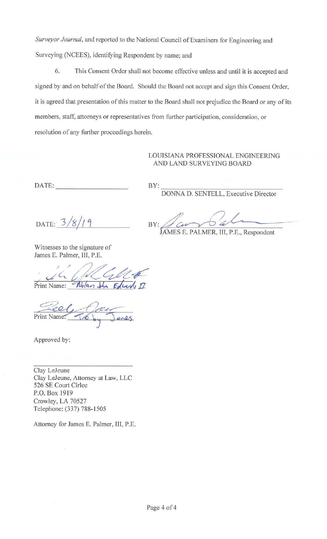*Surveyor Journal,* and reported to the National Council of Examiners for Engineering and Surveying (NCEES), identifying Respondent by name; and

6. This Consent Order shall not become effective unless and until it is accepted and signed by and on behalf of the Board. Should the Board not accept and sign this Consent Order, it is agreed that presentation of this matter to the Board shall not prejudice the Board or any of its members, staff, attorneys or representatives from further participation, consideration, or resolution of any further proceedings herein.

## LOUISIANA PROFESSIONAL ENGINEERING AND LAND SURVEYING BOARD

DATE: \_\_\_\_\_\_\_ \_

BY:  $\frac{1}{2}$  DONNA D. SENTELL, Executive Director

JAMES E. PALMER, III, P.E., Respondent

 $\mathsf{B} \mathsf{Y}: \mathscr{J}_{\mathcal{C} \mathsf{A} \mathsf{Y}} \underset{\mathsf{M}}{\bigcirc} \mathsf{B} \mathsf{A} \mathsf{I} \mathsf{M} \mathsf{E} \mathsf{B} \mathsf{H} \mathsf{I} \mathsf{M} \mathsf{B} \mathsf{I} \mathsf{H} \mathsf{B}$ 

DATE:  $3/8/19$ 

Witnesses to the signature of James E. Palmer, III, P.E.

/ / 2/~ VIIIIESSES to the signature of<br>James E. Palmer, III, P.E.<br>Print Name: *Nolan John Eduards II* 

Print Name: To by

Approved by:

Clay LeJeune Clay LeJeune, Attorney at Law, LLC 526 SE Court Cirlce P.O. Box 1919 Crowley, LA 70527 Telephone: (337) 788-1505

Attorney for James E. Palmer, III, P.E.